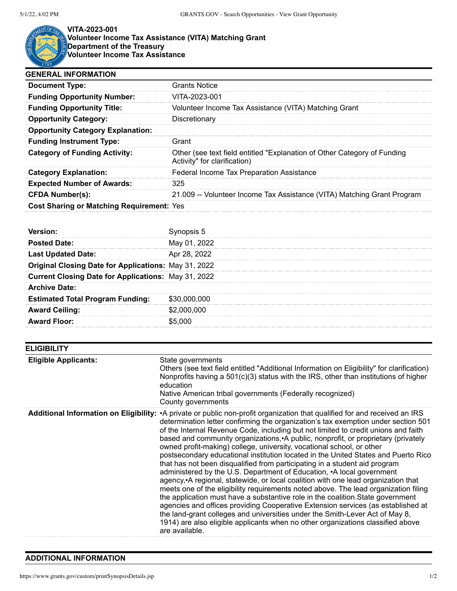

**VITA-2023-001**

**Volunteer Income Tax Assistance (VITA) Matching Grant Department of the Treasury Volunteer Income Tax Assistance**

| <b>GENERAL INFORMATION</b>                       |                                                                                                          |
|--------------------------------------------------|----------------------------------------------------------------------------------------------------------|
| <b>Document Type:</b>                            | <b>Grants Notice</b>                                                                                     |
| <b>Funding Opportunity Number:</b>               | VITA-2023-001                                                                                            |
| <b>Funding Opportunity Title:</b>                | Volunteer Income Tax Assistance (VITA) Matching Grant                                                    |
| <b>Opportunity Category:</b>                     | Discretionary                                                                                            |
| <b>Opportunity Category Explanation:</b>         |                                                                                                          |
| <b>Funding Instrument Type:</b>                  | Grant                                                                                                    |
| <b>Category of Funding Activity:</b>             | Other (see text field entitled "Explanation of Other Category of Funding<br>Activity" for clarification) |
| <b>Category Explanation:</b>                     | Federal Income Tax Preparation Assistance                                                                |
| <b>Expected Number of Awards:</b>                | 325                                                                                                      |
| <b>CFDA Number(s):</b>                           | 21.009 -- Volunteer Income Tax Assistance (VITA) Matching Grant Program                                  |
| <b>Cost Sharing or Matching Requirement: Yes</b> |                                                                                                          |

| <b>ELIGIBILITY</b>          |                                                                                                                                                                                                                                                                                                                                                                                                                                                                                                                                                                                                                                                                                                                                                                                                                                                                                                                                                                                                                                                                                                                                                                                                                                                            |
|-----------------------------|------------------------------------------------------------------------------------------------------------------------------------------------------------------------------------------------------------------------------------------------------------------------------------------------------------------------------------------------------------------------------------------------------------------------------------------------------------------------------------------------------------------------------------------------------------------------------------------------------------------------------------------------------------------------------------------------------------------------------------------------------------------------------------------------------------------------------------------------------------------------------------------------------------------------------------------------------------------------------------------------------------------------------------------------------------------------------------------------------------------------------------------------------------------------------------------------------------------------------------------------------------|
| <b>Eligible Applicants:</b> | State governments<br>Others (see text field entitled "Additional Information on Eligibility" for clarification)<br>Nonprofits having a $501(c)(3)$ status with the IRS, other than institutions of higher<br>education<br>Native American tribal governments (Federally recognized)<br>County governments                                                                                                                                                                                                                                                                                                                                                                                                                                                                                                                                                                                                                                                                                                                                                                                                                                                                                                                                                  |
|                             | Additional Information on Eligibility: • A private or public non-profit organization that qualified for and received an IRS<br>determination letter confirming the organization's tax exemption under section 501<br>of the Internal Revenue Code, including but not limited to credit unions and faith<br>based and community organizations, A public, nonprofit, or proprietary (privately<br>owned profit-making) college, university, vocational school, or other<br>postsecondary educational institution located in the United States and Puerto Rico<br>that has not been disqualified from participating in a student aid program<br>administered by the U.S. Department of Education, •A local government<br>agency, A regional, statewide, or local coalition with one lead organization that<br>meets one of the eligibility requirements noted above. The lead organization filing<br>the application must have a substantive role in the coalition. State government<br>agencies and offices providing Cooperative Extension services (as established at<br>the land-grant colleges and universities under the Smith-Lever Act of May 8,<br>1914) are also eligible applicants when no other organizations classified above<br>are available. |

## **ADDITIONAL INFORMATION**